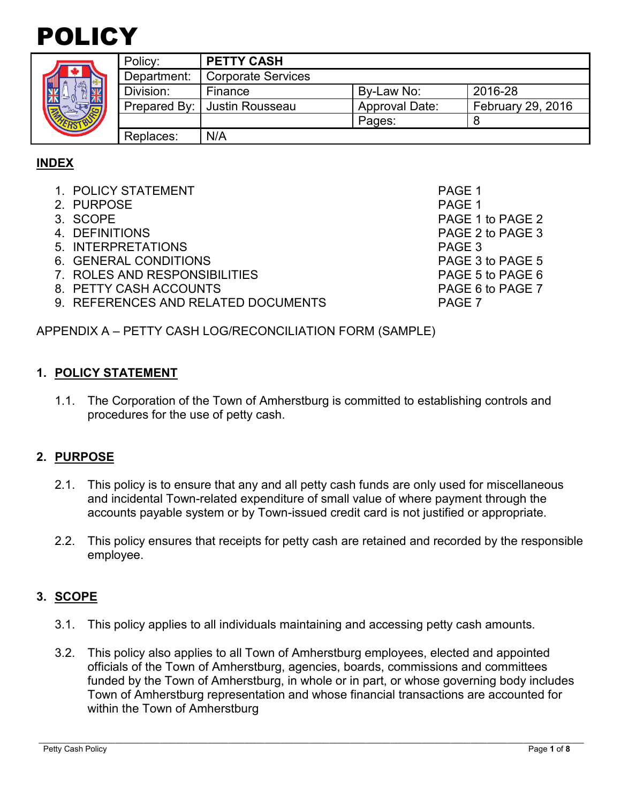

| ۰<br><b>ERS</b> |  |
|-----------------|--|

|  | Policy:     | <b>PETTY CASH</b>              |                       |                          |
|--|-------------|--------------------------------|-----------------------|--------------------------|
|  | Department: | <b>Corporate Services</b>      |                       |                          |
|  | Division:   | Finance                        | By-Law No:            | 2016-28                  |
|  |             | Prepared By:   Justin Rousseau | <b>Approval Date:</b> | <b>February 29, 2016</b> |
|  |             |                                | Pages:                |                          |
|  | Replaces:   | N/A                            |                       |                          |

# **INDEX**

- 1. POLICY STATEMENT PAGE 1
- 2. PURPOSE PAGE 1
- 
- 
- 5. INTERPRETATIONS PAGE 3
- 6. GENERAL CONDITIONS PAGE 3 to PAGE 5
- 7. ROLES AND RESPONSIBILITIES PAGE 5 to PAGE 6
- 8. PETTY CASH ACCOUNTS **PAGE 6** to PAGE 7
- 9. REFERENCES AND RELATED DOCUMENTS PAGE 7

PAGE 1 to PAGE 2 4. DEFINITIONS PAGE 2 to PAGE 3

APPENDIX A – PETTY CASH LOG/RECONCILIATION FORM (SAMPLE)

#### **1. POLICY STATEMENT**

1.1. The Corporation of the Town of Amherstburg is committed to establishing controls and procedures for the use of petty cash.

# **2. PURPOSE**

- 2.1. This policy is to ensure that any and all petty cash funds are only used for miscellaneous and incidental Town-related expenditure of small value of where payment through the accounts payable system or by Town-issued credit card is not justified or appropriate.
- 2.2. This policy ensures that receipts for petty cash are retained and recorded by the responsible employee.

# **3. SCOPE**

- 3.1. This policy applies to all individuals maintaining and accessing petty cash amounts.
- 3.2. This policy also applies to all Town of Amherstburg employees, elected and appointed officials of the Town of Amherstburg, agencies, boards, commissions and committees funded by the Town of Amherstburg, in whole or in part, or whose governing body includes Town of Amherstburg representation and whose financial transactions are accounted for within the Town of Amherstburg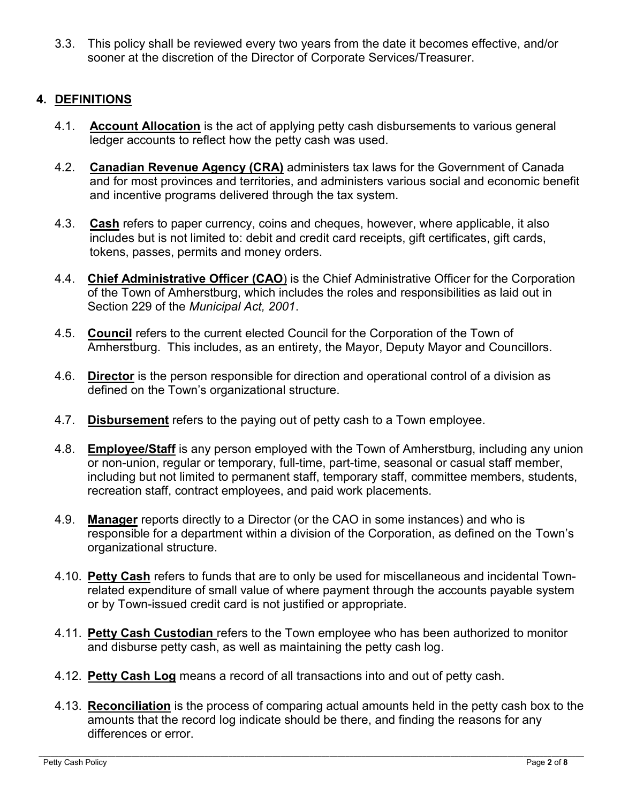3.3. This policy shall be reviewed every two years from the date it becomes effective, and/or sooner at the discretion of the Director of Corporate Services/Treasurer.

# **4. DEFINITIONS**

- 4.1. **Account Allocation** is the act of applying petty cash disbursements to various general ledger accounts to reflect how the petty cash was used.
- 4.2. **Canadian Revenue Agency (CRA)** administers tax laws for the Government of Canada and for most provinces and territories, and administers various social and economic benefit and incentive programs delivered through the tax system.
- 4.3. **Cash** refers to paper currency, coins and cheques, however, where applicable, it also includes but is not limited to: debit and credit card receipts, gift certificates, gift cards, tokens, passes, permits and money orders.
- 4.4. **Chief Administrative Officer (CAO**) is the Chief Administrative Officer for the Corporation of the Town of Amherstburg, which includes the roles and responsibilities as laid out in Section 229 of the *Municipal Act, 2001*.
- 4.5. **Council** refers to the current elected Council for the Corporation of the Town of Amherstburg. This includes, as an entirety, the Mayor, Deputy Mayor and Councillors.
- 4.6. **Director** is the person responsible for direction and operational control of a division as defined on the Town's organizational structure.
- 4.7. **Disbursement** refers to the paying out of petty cash to a Town employee.
- 4.8. **Employee/Staff** is any person employed with the Town of Amherstburg, including any union or non-union, regular or temporary, full-time, part-time, seasonal or casual staff member, including but not limited to permanent staff, temporary staff, committee members, students, recreation staff, contract employees, and paid work placements.
- 4.9. **Manager** reports directly to a Director (or the CAO in some instances) and who is responsible for a department within a division of the Corporation, as defined on the Town's organizational structure.
- 4.10. **Petty Cash** refers to funds that are to only be used for miscellaneous and incidental Townrelated expenditure of small value of where payment through the accounts payable system or by Town-issued credit card is not justified or appropriate.
- 4.11. **Petty Cash Custodian** refers to the Town employee who has been authorized to monitor and disburse petty cash, as well as maintaining the petty cash log.
- 4.12. **Petty Cash Log** means a record of all transactions into and out of petty cash.
- 4.13. **Reconciliation** is the process of comparing actual amounts held in the petty cash box to the amounts that the record log indicate should be there, and finding the reasons for any differences or error.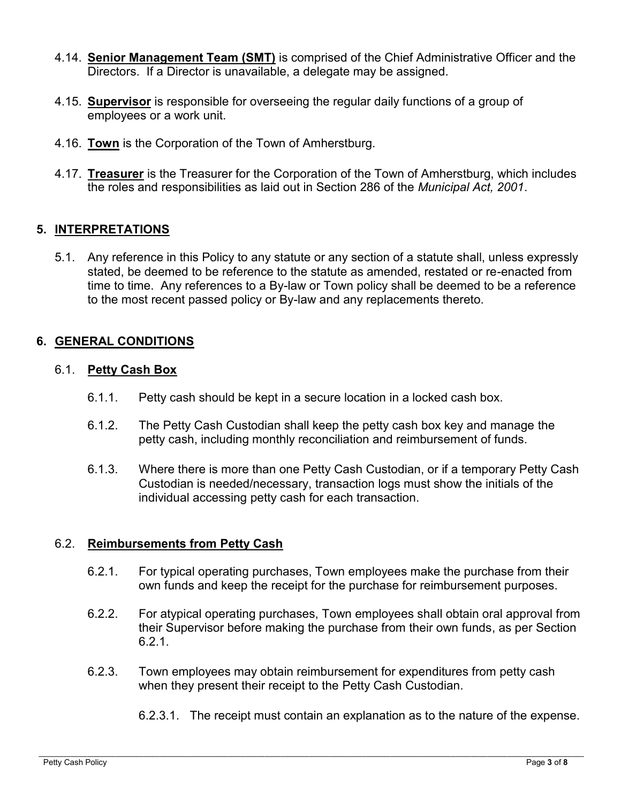- 4.14. **Senior Management Team (SMT)** is comprised of the Chief Administrative Officer and the Directors. If a Director is unavailable, a delegate may be assigned.
- 4.15. **Supervisor** is responsible for overseeing the regular daily functions of a group of employees or a work unit.
- 4.16. **Town** is the Corporation of the Town of Amherstburg.
- 4.17. **Treasurer** is the Treasurer for the Corporation of the Town of Amherstburg, which includes the roles and responsibilities as laid out in Section 286 of the *Municipal Act, 2001*.

# **5. INTERPRETATIONS**

5.1. Any reference in this Policy to any statute or any section of a statute shall, unless expressly stated, be deemed to be reference to the statute as amended, restated or re-enacted from time to time. Any references to a By-law or Town policy shall be deemed to be a reference to the most recent passed policy or By-law and any replacements thereto.

# **6. GENERAL CONDITIONS**

#### 6.1. **Petty Cash Box**

- 6.1.1. Petty cash should be kept in a secure location in a locked cash box.
- 6.1.2. The Petty Cash Custodian shall keep the petty cash box key and manage the petty cash, including monthly reconciliation and reimbursement of funds.
- 6.1.3. Where there is more than one Petty Cash Custodian, or if a temporary Petty Cash Custodian is needed/necessary, transaction logs must show the initials of the individual accessing petty cash for each transaction.

#### 6.2. **Reimbursements from Petty Cash**

- 6.2.1. For typical operating purchases, Town employees make the purchase from their own funds and keep the receipt for the purchase for reimbursement purposes.
- 6.2.2. For atypical operating purchases, Town employees shall obtain oral approval from their Supervisor before making the purchase from their own funds, as per Section 6.2.1.
- 6.2.3. Town employees may obtain reimbursement for expenditures from petty cash when they present their receipt to the Petty Cash Custodian.
	- 6.2.3.1. The receipt must contain an explanation as to the nature of the expense.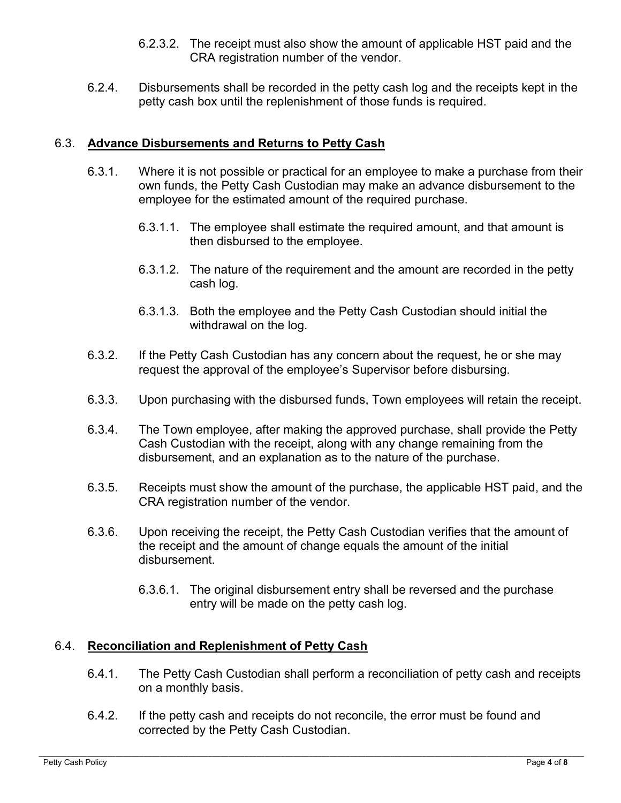- 6.2.3.2. The receipt must also show the amount of applicable HST paid and the CRA registration number of the vendor.
- 6.2.4. Disbursements shall be recorded in the petty cash log and the receipts kept in the petty cash box until the replenishment of those funds is required.

#### 6.3. **Advance Disbursements and Returns to Petty Cash**

- 6.3.1. Where it is not possible or practical for an employee to make a purchase from their own funds, the Petty Cash Custodian may make an advance disbursement to the employee for the estimated amount of the required purchase.
	- 6.3.1.1. The employee shall estimate the required amount, and that amount is then disbursed to the employee.
	- 6.3.1.2. The nature of the requirement and the amount are recorded in the petty cash log.
	- 6.3.1.3. Both the employee and the Petty Cash Custodian should initial the withdrawal on the log.
- 6.3.2. If the Petty Cash Custodian has any concern about the request, he or she may request the approval of the employee's Supervisor before disbursing.
- 6.3.3. Upon purchasing with the disbursed funds, Town employees will retain the receipt.
- 6.3.4. The Town employee, after making the approved purchase, shall provide the Petty Cash Custodian with the receipt, along with any change remaining from the disbursement, and an explanation as to the nature of the purchase.
- 6.3.5. Receipts must show the amount of the purchase, the applicable HST paid, and the CRA registration number of the vendor.
- 6.3.6. Upon receiving the receipt, the Petty Cash Custodian verifies that the amount of the receipt and the amount of change equals the amount of the initial disbursement.
	- 6.3.6.1. The original disbursement entry shall be reversed and the purchase entry will be made on the petty cash log.

#### 6.4. **Reconciliation and Replenishment of Petty Cash**

- 6.4.1. The Petty Cash Custodian shall perform a reconciliation of petty cash and receipts on a monthly basis.
- 6.4.2. If the petty cash and receipts do not reconcile, the error must be found and corrected by the Petty Cash Custodian.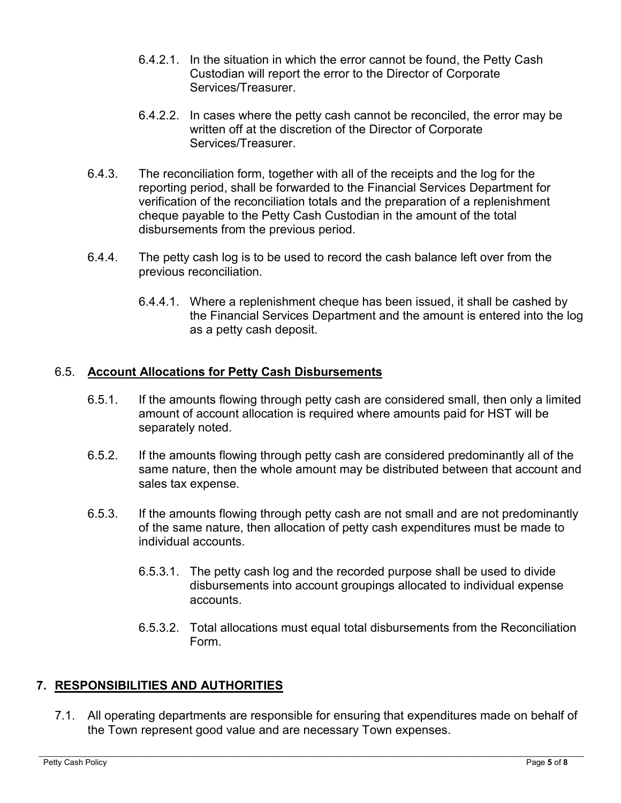- 6.4.2.1. In the situation in which the error cannot be found, the Petty Cash Custodian will report the error to the Director of Corporate Services/Treasurer.
- 6.4.2.2. In cases where the petty cash cannot be reconciled, the error may be written off at the discretion of the Director of Corporate Services/Treasurer.
- 6.4.3. The reconciliation form, together with all of the receipts and the log for the reporting period, shall be forwarded to the Financial Services Department for verification of the reconciliation totals and the preparation of a replenishment cheque payable to the Petty Cash Custodian in the amount of the total disbursements from the previous period.
- 6.4.4. The petty cash log is to be used to record the cash balance left over from the previous reconciliation.
	- 6.4.4.1. Where a replenishment cheque has been issued, it shall be cashed by the Financial Services Department and the amount is entered into the log as a petty cash deposit.

# 6.5. **Account Allocations for Petty Cash Disbursements**

- 6.5.1. If the amounts flowing through petty cash are considered small, then only a limited amount of account allocation is required where amounts paid for HST will be separately noted.
- 6.5.2. If the amounts flowing through petty cash are considered predominantly all of the same nature, then the whole amount may be distributed between that account and sales tax expense.
- 6.5.3. If the amounts flowing through petty cash are not small and are not predominantly of the same nature, then allocation of petty cash expenditures must be made to individual accounts.
	- 6.5.3.1. The petty cash log and the recorded purpose shall be used to divide disbursements into account groupings allocated to individual expense accounts.
	- 6.5.3.2. Total allocations must equal total disbursements from the Reconciliation Form.

# **7. RESPONSIBILITIES AND AUTHORITIES**

7.1. All operating departments are responsible for ensuring that expenditures made on behalf of the Town represent good value and are necessary Town expenses.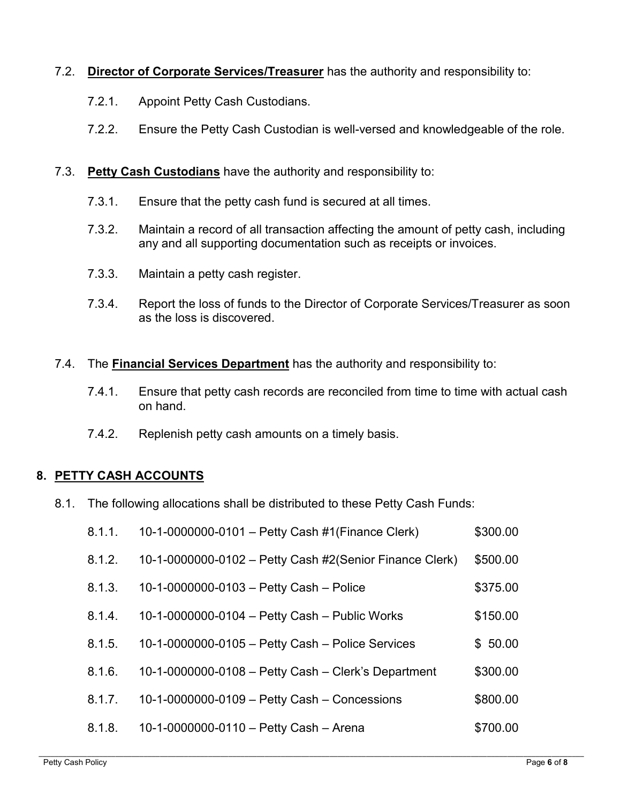# 7.2. **Director of Corporate Services/Treasurer** has the authority and responsibility to:

- 7.2.1. Appoint Petty Cash Custodians.
- 7.2.2. Ensure the Petty Cash Custodian is well-versed and knowledgeable of the role.

### 7.3. **Petty Cash Custodians** have the authority and responsibility to:

- 7.3.1. Ensure that the petty cash fund is secured at all times.
- 7.3.2. Maintain a record of all transaction affecting the amount of petty cash, including any and all supporting documentation such as receipts or invoices.
- 7.3.3. Maintain a petty cash register.
- 7.3.4. Report the loss of funds to the Director of Corporate Services/Treasurer as soon as the loss is discovered.
- 7.4. The **Financial Services Department** has the authority and responsibility to:
	- 7.4.1. Ensure that petty cash records are reconciled from time to time with actual cash on hand.
	- 7.4.2. Replenish petty cash amounts on a timely basis.

# **8. PETTY CASH ACCOUNTS**

8.1. The following allocations shall be distributed to these Petty Cash Funds:

| 8.1.1. | 10-1-0000000-0101 - Petty Cash #1(Finance Clerk)        | \$300.00 |
|--------|---------------------------------------------------------|----------|
| 8.1.2. | 10-1-0000000-0102 - Petty Cash #2(Senior Finance Clerk) | \$500.00 |
| 8.1.3. | 10-1-0000000-0103 - Petty Cash - Police                 | \$375.00 |
| 8.1.4. | 10-1-0000000-0104 - Petty Cash - Public Works           | \$150.00 |
| 8.1.5. | 10-1-0000000-0105 - Petty Cash - Police Services        | \$50.00  |
| 8.1.6. | 10-1-0000000-0108 - Petty Cash - Clerk's Department     | \$300.00 |
| 8.1.7. | 10-1-0000000-0109 - Petty Cash - Concessions            | \$800.00 |
| 8.1.8. | 10-1-0000000-0110 - Petty Cash - Arena                  | \$700.00 |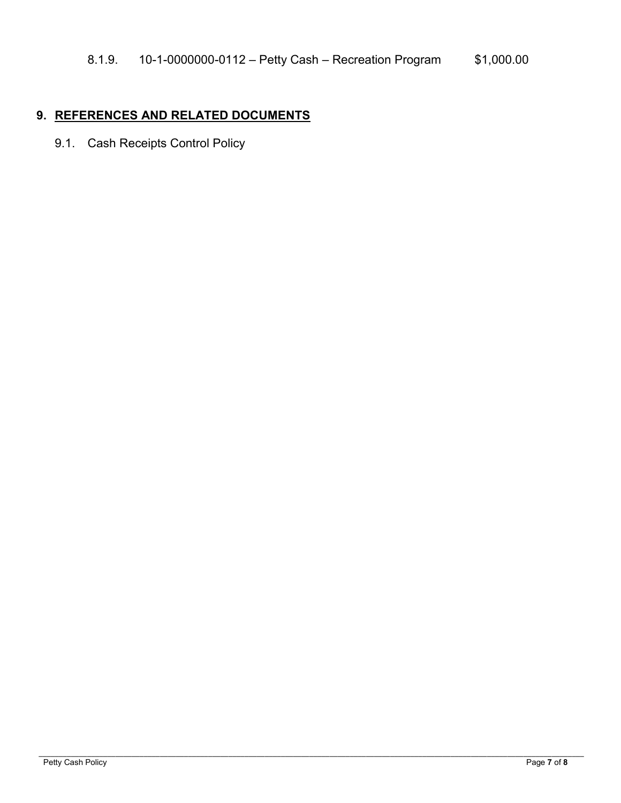# **9. REFERENCES AND RELATED DOCUMENTS**

9.1. Cash Receipts Control Policy